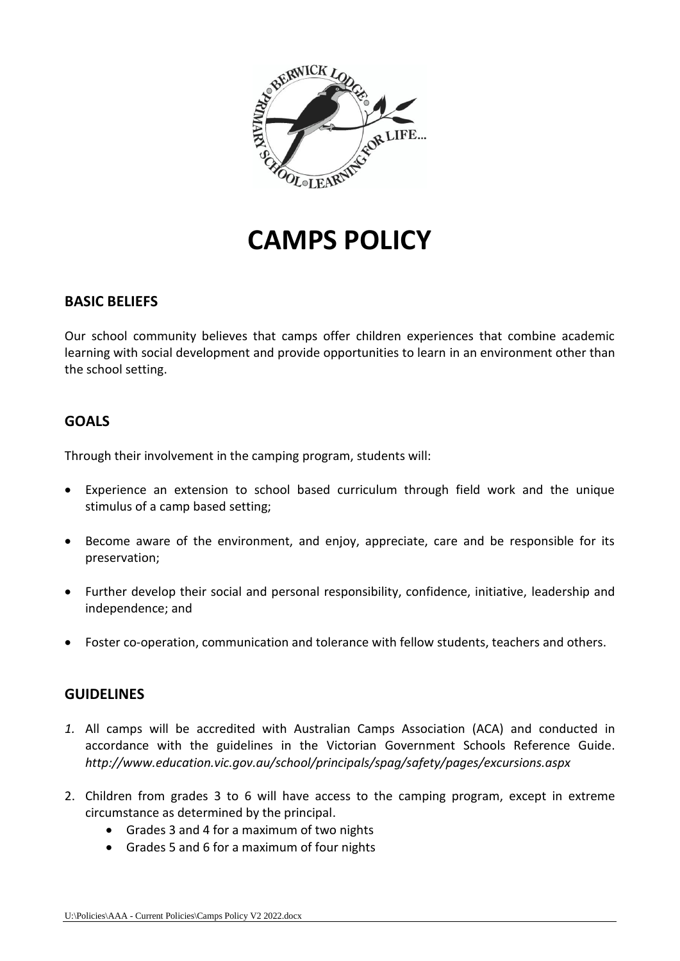

# **CAMPS POLICY**

# **BASIC BELIEFS**

Our school community believes that camps offer children experiences that combine academic learning with social development and provide opportunities to learn in an environment other than the school setting.

# **GOALS**

Through their involvement in the camping program, students will:

- Experience an extension to school based curriculum through field work and the unique stimulus of a camp based setting;
- Become aware of the environment, and enjoy, appreciate, care and be responsible for its preservation;
- Further develop their social and personal responsibility, confidence, initiative, leadership and independence; and
- Foster co-operation, communication and tolerance with fellow students, teachers and others.

# **GUIDELINES**

- *1.* All camps will be accredited with Australian Camps Association (ACA) and conducted in accordance with the guidelines in the Victorian Government Schools Reference Guide. *http://www.education.vic.gov.au/school/principals/spag/safety/pages/excursions.aspx*
- 2. Children from grades 3 to 6 will have access to the camping program, except in extreme circumstance as determined by the principal.
	- Grades 3 and 4 for a maximum of two nights
	- Grades 5 and 6 for a maximum of four nights